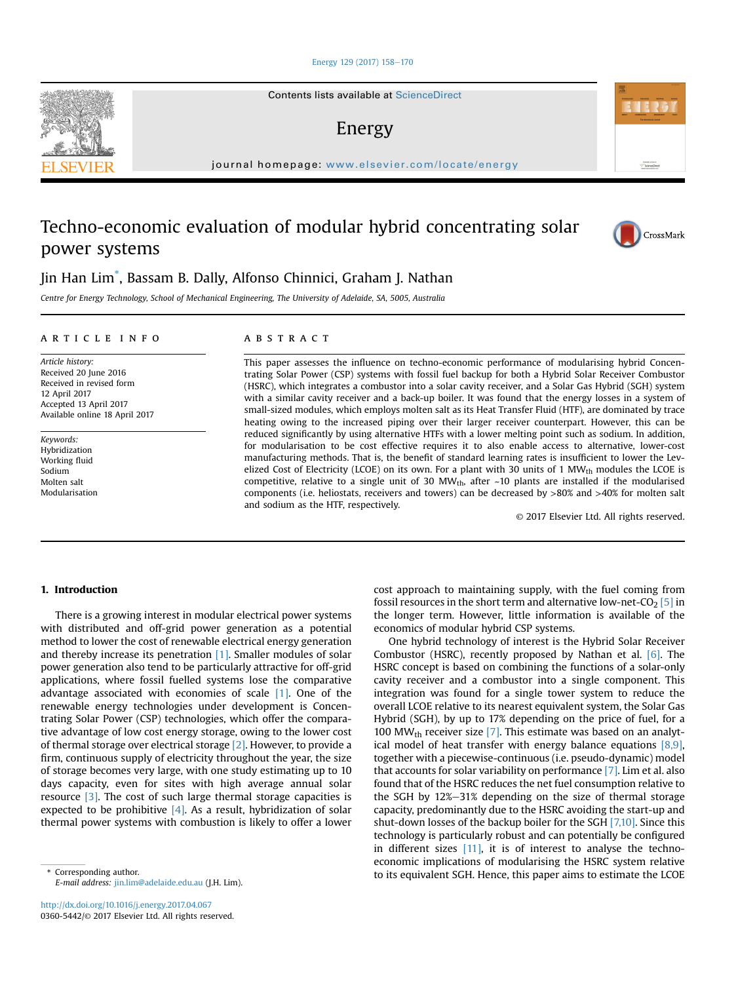#### [Energy 129 \(2017\) 158](http://dx.doi.org/10.1016/j.energy.2017.04.067)-[170](http://dx.doi.org/10.1016/j.energy.2017.04.067)

Contents lists available at ScienceDirect

### Energy

journal homepage: [www.elsevier.com/locate/energy](http://www.elsevier.com/locate/energy)

## Techno-economic evaluation of modular hybrid concentrating solar power systems



Centre for Energy Technology, School of Mechanical Engineering, The University of Adelaide, SA, 5005, Australia

#### article info

Article history: Received 20 June 2016 Received in revised form 12 April 2017 Accepted 13 April 2017 Available online 18 April 2017

Keywords: Hybridization Working fluid Sodium Molten salt Modularisation

#### **ABSTRACT**

This paper assesses the influence on techno-economic performance of modularising hybrid Concentrating Solar Power (CSP) systems with fossil fuel backup for both a Hybrid Solar Receiver Combustor (HSRC), which integrates a combustor into a solar cavity receiver, and a Solar Gas Hybrid (SGH) system with a similar cavity receiver and a back-up boiler. It was found that the energy losses in a system of small-sized modules, which employs molten salt as its Heat Transfer Fluid (HTF), are dominated by trace heating owing to the increased piping over their larger receiver counterpart. However, this can be reduced significantly by using alternative HTFs with a lower melting point such as sodium. In addition, for modularisation to be cost effective requires it to also enable access to alternative, lower-cost manufacturing methods. That is, the benefit of standard learning rates is insufficient to lower the Levelized Cost of Electricity (LCOE) on its own. For a plant with 30 units of 1 MW<sub>th</sub> modules the LCOE is competitive, relative to a single unit of 30 MW<sub>th</sub>, after  $\sim$ 10 plants are installed if the modularised components (i.e. heliostats, receivers and towers) can be decreased by >80% and >40% for molten salt and sodium as the HTF, respectively.

© 2017 Elsevier Ltd. All rights reserved.

#### 1. Introduction

There is a growing interest in modular electrical power systems with distributed and off-grid power generation as a potential method to lower the cost of renewable electrical energy generation and thereby increase its penetration [\[1\]](#page--1-0). Smaller modules of solar power generation also tend to be particularly attractive for off-grid applications, where fossil fuelled systems lose the comparative advantage associated with economies of scale [\[1\].](#page--1-0) One of the renewable energy technologies under development is Concentrating Solar Power (CSP) technologies, which offer the comparative advantage of low cost energy storage, owing to the lower cost of thermal storage over electrical storage  $[2]$ . However, to provide a firm, continuous supply of electricity throughout the year, the size of storage becomes very large, with one study estimating up to 10 days capacity, even for sites with high average annual solar resource [\[3\]](#page--1-0). The cost of such large thermal storage capacities is expected to be prohibitive  $[4]$ . As a result, hybridization of solar thermal power systems with combustion is likely to offer a lower cost approach to maintaining supply, with the fuel coming from fossil resources in the short term and alternative low-net- $CO<sub>2</sub>$  [\[5\]](#page--1-0) in the longer term. However, little information is available of the economics of modular hybrid CSP systems.

One hybrid technology of interest is the Hybrid Solar Receiver Combustor (HSRC), recently proposed by Nathan et al.  $[6]$ . The HSRC concept is based on combining the functions of a solar-only cavity receiver and a combustor into a single component. This integration was found for a single tower system to reduce the overall LCOE relative to its nearest equivalent system, the Solar Gas Hybrid (SGH), by up to 17% depending on the price of fuel, for a 100 MW $_{\text{th}}$  receiver size [\[7\]](#page--1-0). This estimate was based on an analytical model of heat transfer with energy balance equations  $[8,9]$ , together with a piecewise-continuous (i.e. pseudo-dynamic) model that accounts for solar variability on performance [\[7\].](#page--1-0) Lim et al. also found that of the HSRC reduces the net fuel consumption relative to the SGH by 12%-31% depending on the size of thermal storage capacity, predominantly due to the HSRC avoiding the start-up and shut-down losses of the backup boiler for the SGH [\[7,10\].](#page--1-0) Since this technology is particularly robust and can potentially be configured in different sizes [\[11\]](#page--1-0), it is of interest to analyse the technoeconomic implications of modularising the HSRC system relative to its equivalent SGH. Hence, this paper aims to estimate the LCOE \* Corresponding author.





Automotive at<br>ScienceDire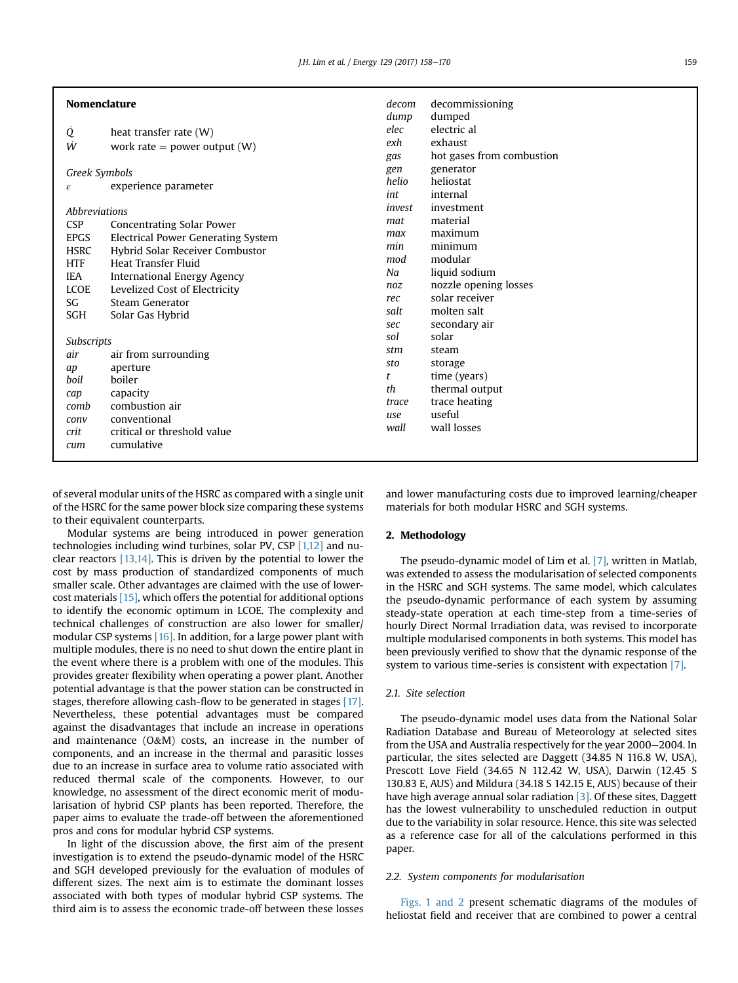| <b>Nomenclature</b> |                                           | decom  | decommissioning           |
|---------------------|-------------------------------------------|--------|---------------------------|
|                     |                                           | dump   | dumped                    |
| Q                   | heat transfer rate (W)                    | elec   | electric al               |
| Ŵ                   | work rate = power output $(W)$            | exh    | exhaust                   |
|                     |                                           | gas    | hot gases from combustion |
| Greek Symbols       |                                           | gen    | generator                 |
| ε                   | experience parameter                      | helio  | heliostat                 |
|                     |                                           | int    | internal                  |
| Abbreviations       |                                           | invest | investment                |
| <b>CSP</b>          | <b>Concentrating Solar Power</b>          | mat    | material                  |
| <b>EPGS</b>         | <b>Electrical Power Generating System</b> | max    | maximum                   |
| <b>HSRC</b>         | Hybrid Solar Receiver Combustor           | min    | minimum                   |
| <b>HTF</b>          | Heat Transfer Fluid                       | mod    | modular                   |
| <b>IEA</b>          | International Energy Agency               | Na     | liquid sodium             |
| LCOE                | Levelized Cost of Electricity             | noz    | nozzle opening losses     |
| SG                  | Steam Generator                           | rec    | solar receiver            |
| SGH                 | Solar Gas Hybrid                          | salt   | molten salt               |
|                     |                                           | sec    | secondary air             |
| Subscripts          |                                           | sol    | solar                     |
| air                 | air from surrounding                      | stm    | steam                     |
| ap                  | aperture                                  | sto    | storage                   |
| boil                | boiler                                    | t      | time (years)              |
| cap                 | capacity                                  | th     | thermal output            |
| comb                | combustion air                            | trace  | trace heating             |
| conv                | conventional                              | use    | useful                    |
| crit                | critical or threshold value               | wall   | wall losses               |
| cum                 | cumulative                                |        |                           |
|                     |                                           |        |                           |

of several modular units of the HSRC as compared with a single unit of the HSRC for the same power block size comparing these systems to their equivalent counterparts.

Modular systems are being introduced in power generation technologies including wind turbines, solar PV, CSP [\[1,12\]](#page--1-0) and nuclear reactors  $[13,14]$ . This is driven by the potential to lower the cost by mass production of standardized components of much smaller scale. Other advantages are claimed with the use of lowercost materials [\[15\]](#page--1-0), which offers the potential for additional options to identify the economic optimum in LCOE. The complexity and technical challenges of construction are also lower for smaller/ modular CSP systems [\[16\].](#page--1-0) In addition, for a large power plant with multiple modules, there is no need to shut down the entire plant in the event where there is a problem with one of the modules. This provides greater flexibility when operating a power plant. Another potential advantage is that the power station can be constructed in stages, therefore allowing cash-flow to be generated in stages [\[17\].](#page--1-0) Nevertheless, these potential advantages must be compared against the disadvantages that include an increase in operations and maintenance (O&M) costs, an increase in the number of components, and an increase in the thermal and parasitic losses due to an increase in surface area to volume ratio associated with reduced thermal scale of the components. However, to our knowledge, no assessment of the direct economic merit of modularisation of hybrid CSP plants has been reported. Therefore, the paper aims to evaluate the trade-off between the aforementioned pros and cons for modular hybrid CSP systems.

In light of the discussion above, the first aim of the present investigation is to extend the pseudo-dynamic model of the HSRC and SGH developed previously for the evaluation of modules of different sizes. The next aim is to estimate the dominant losses associated with both types of modular hybrid CSP systems. The third aim is to assess the economic trade-off between these losses

and lower manufacturing costs due to improved learning/cheaper materials for both modular HSRC and SGH systems.

#### 2. Methodology

The pseudo-dynamic model of Lim et al. [\[7\],](#page--1-0) written in Matlab, was extended to assess the modularisation of selected components in the HSRC and SGH systems. The same model, which calculates the pseudo-dynamic performance of each system by assuming steady-state operation at each time-step from a time-series of hourly Direct Normal Irradiation data, was revised to incorporate multiple modularised components in both systems. This model has been previously verified to show that the dynamic response of the system to various time-series is consistent with expectation [\[7\].](#page--1-0)

#### 2.1. Site selection

The pseudo-dynamic model uses data from the National Solar Radiation Database and Bureau of Meteorology at selected sites from the USA and Australia respectively for the year 2000-2004. In particular, the sites selected are Daggett (34.85 N 116.8 W, USA), Prescott Love Field (34.65 N 112.42 W, USA), Darwin (12.45 S 130.83 E, AUS) and Mildura (34.18 S 142.15 E, AUS) because of their have high average annual solar radiation [\[3\].](#page--1-0) Of these sites, Daggett has the lowest vulnerability to unscheduled reduction in output due to the variability in solar resource. Hence, this site was selected as a reference case for all of the calculations performed in this paper.

#### 2.2. System components for modularisation

[Figs. 1 and 2](#page--1-0) present schematic diagrams of the modules of heliostat field and receiver that are combined to power a central